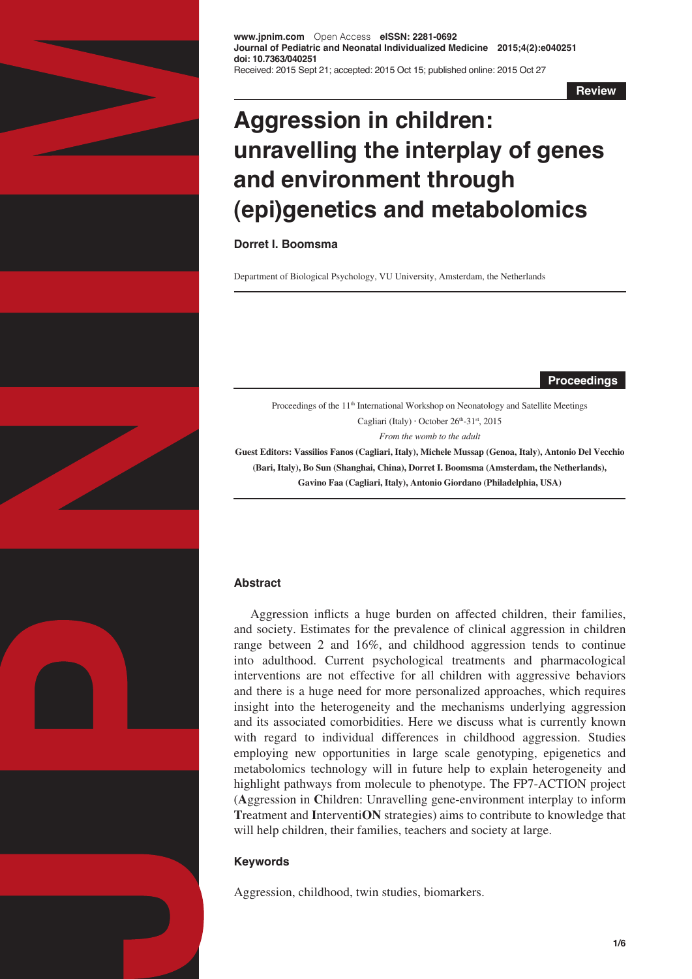

**www.jpnim.com** Open Access **eISSN: 2281-0692 Journal of Pediatric and Neonatal Individualized Medicine 2015;4(2):e040251 doi: 10.7363/040251** Received: 2015 Sept 21; accepted: 2015 Oct 15; published online: 2015 Oct 27

**Review**

# **Aggression in children: unravelling the interplay of genes and environment through (epi)genetics and metabolomics**

## **Dorret I. Boomsma**

Department of Biological Psychology, VU University, Amsterdam, the Netherlands

**Proceedings**

Proceedings of the 11<sup>th</sup> International Workshop on Neonatology and Satellite Meetings Cagliari (Italy)  $\cdot$  October 26<sup>th</sup>-31<sup>st</sup>, 2015

*From the womb to the adult*

**Guest Editors: Vassilios Fanos (Cagliari, Italy), Michele Mussap (Genoa, Italy), Antonio Del Vecchio (Bari, Italy), Bo Sun (Shanghai, China), Dorret I. Boomsma (Amsterdam, the Netherlands), Gavino Faa (Cagliari, Italy), Antonio Giordano (Philadelphia, USA)** 

## **Abstract**

Aggression inflicts a huge burden on affected children, their families, and society. Estimates for the prevalence of clinical aggression in children range between 2 and 16%, and childhood aggression tends to continue into adulthood. Current psychological treatments and pharmacological interventions are not effective for all children with aggressive behaviors and there is a huge need for more personalized approaches, which requires insight into the heterogeneity and the mechanisms underlying aggression and its associated comorbidities. Here we discuss what is currently known with regard to individual differences in childhood aggression. Studies employing new opportunities in large scale genotyping, epigenetics and metabolomics technology will in future help to explain heterogeneity and highlight pathways from molecule to phenotype. The FP7-ACTION project (**A**ggression in **C**hildren: Unravelling gene-environment interplay to inform **T**reatment and **I**nterventi**ON** strategies) aims to contribute to knowledge that will help children, their families, teachers and society at large.

## **Keywords**

Aggression, childhood, twin studies, biomarkers.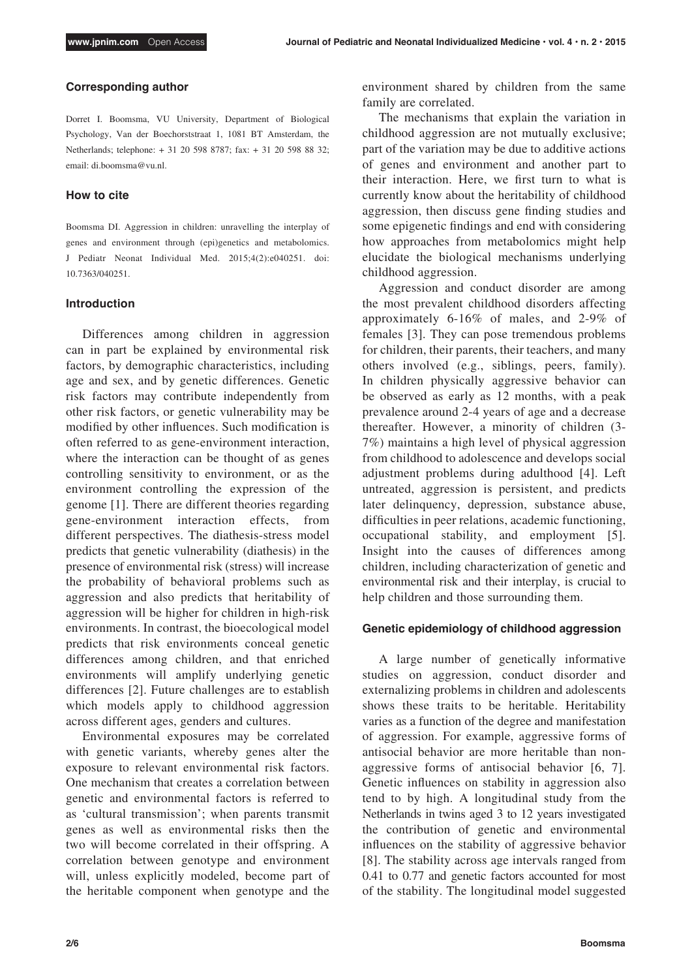## **Corresponding author**

Dorret I. Boomsma, VU University, Department of Biological Psychology, Van der Boechorststraat 1, 1081 BT Amsterdam, the Netherlands; telephone: + 31 20 598 8787; fax: + 31 20 598 88 32; email: di.boomsma@vu.nl.

## **How to cite**

Boomsma DI. Aggression in children: unravelling the interplay of genes and environment through (epi)genetics and metabolomics. J Pediatr Neonat Individual Med. 2015;4(2):e040251. doi: 10.7363/040251.

#### **Introduction**

Differences among children in aggression can in part be explained by environmental risk factors, by demographic characteristics, including age and sex, and by genetic differences. Genetic risk factors may contribute independently from other risk factors, or genetic vulnerability may be modified by other influences. Such modification is often referred to as gene-environment interaction, where the interaction can be thought of as genes controlling sensitivity to environment, or as the environment controlling the expression of the genome [1]. There are different theories regarding gene-environment interaction effects, from different perspectives. The diathesis-stress model predicts that genetic vulnerability (diathesis) in the presence of environmental risk (stress) will increase the probability of behavioral problems such as aggression and also predicts that heritability of aggression will be higher for children in high-risk environments. In contrast, the bioecological model predicts that risk environments conceal genetic differences among children, and that enriched environments will amplify underlying genetic differences [2]. Future challenges are to establish which models apply to childhood aggression across different ages, genders and cultures.

Environmental exposures may be correlated with genetic variants, whereby genes alter the exposure to relevant environmental risk factors. One mechanism that creates a correlation between genetic and environmental factors is referred to as 'cultural transmission'; when parents transmit genes as well as environmental risks then the two will become correlated in their offspring. A correlation between genotype and environment will, unless explicitly modeled, become part of the heritable component when genotype and the

environment shared by children from the same family are correlated.

The mechanisms that explain the variation in childhood aggression are not mutually exclusive; part of the variation may be due to additive actions of genes and environment and another part to their interaction. Here, we first turn to what is currently know about the heritability of childhood aggression, then discuss gene finding studies and some epigenetic findings and end with considering how approaches from metabolomics might help elucidate the biological mechanisms underlying childhood aggression.

Aggression and conduct disorder are among the most prevalent childhood disorders affecting approximately 6-16% of males, and 2-9% of females [3]. They can pose tremendous problems for children, their parents, their teachers, and many others involved (e.g., siblings, peers, family). In children physically aggressive behavior can be observed as early as 12 months, with a peak prevalence around 2-4 years of age and a decrease thereafter. However, a minority of children (3- 7%) maintains a high level of physical aggression from childhood to adolescence and develops social adjustment problems during adulthood [4]. Left untreated, aggression is persistent, and predicts later delinquency, depression, substance abuse, difficulties in peer relations, academic functioning, occupational stability, and employment [5]. Insight into the causes of differences among children, including characterization of genetic and environmental risk and their interplay, is crucial to help children and those surrounding them.

## **Genetic epidemiology of childhood aggression**

A large number of genetically informative studies on aggression, conduct disorder and externalizing problems in children and adolescents shows these traits to be heritable. Heritability varies as a function of the degree and manifestation of aggression. For example, aggressive forms of antisocial behavior are more heritable than nonaggressive forms of antisocial behavior [6, 7]. Genetic influences on stability in aggression also tend to by high. A longitudinal study from the Netherlands in twins aged 3 to 12 years investigated the contribution of genetic and environmental influences on the stability of aggressive behavior [8]. The stability across age intervals ranged from 0.41 to 0.77 and genetic factors accounted for most of the stability. The longitudinal model suggested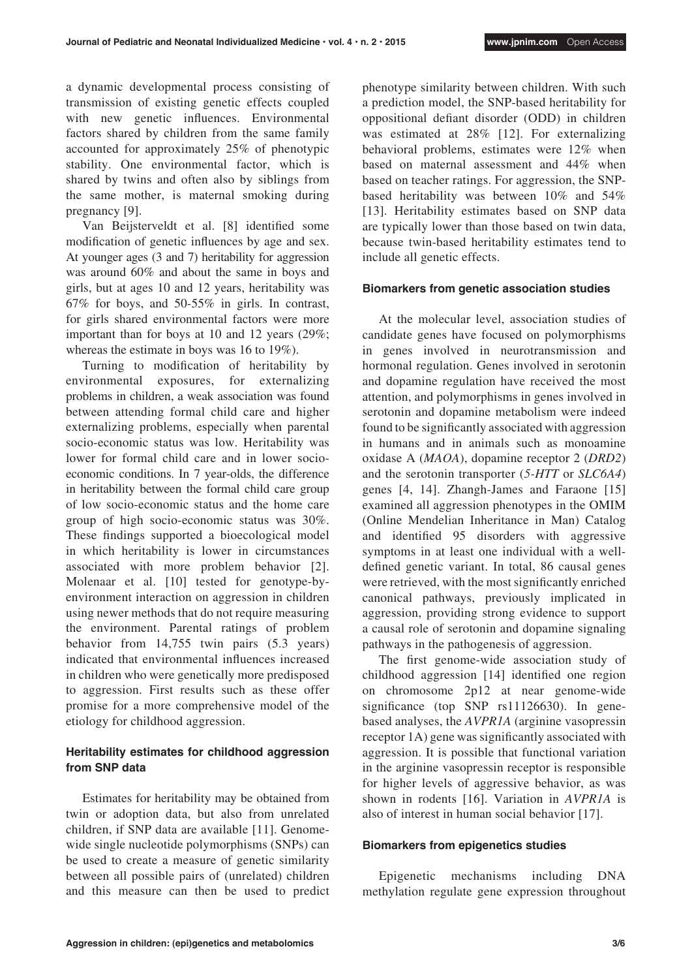a dynamic developmental process consisting of transmission of existing genetic effects coupled with new genetic influences. Environmental factors shared by children from the same family accounted for approximately 25% of phenotypic stability. One environmental factor, which is shared by twins and often also by siblings from the same mother, is maternal smoking during pregnancy [9].

Van Beijsterveldt et al. [8] identified some modification of genetic influences by age and sex. At younger ages (3 and 7) heritability for aggression was around 60% and about the same in boys and girls, but at ages 10 and 12 years, heritability was 67% for boys, and 50-55% in girls. In contrast, for girls shared environmental factors were more important than for boys at 10 and 12 years (29%; whereas the estimate in boys was 16 to 19%).

Turning to modification of heritability by environmental exposures, for externalizing problems in children, a weak association was found between attending formal child care and higher externalizing problems, especially when parental socio-economic status was low. Heritability was lower for formal child care and in lower socioeconomic conditions. In 7 year-olds, the difference in heritability between the formal child care group of low socio-economic status and the home care group of high socio-economic status was 30%. These findings supported a bioecological model in which heritability is lower in circumstances associated with more problem behavior [2]. Molenaar et al. [10] tested for genotype-byenvironment interaction on aggression in children using newer methods that do not require measuring the environment. Parental ratings of problem behavior from 14,755 twin pairs (5.3 years) indicated that environmental influences increased in children who were genetically more predisposed to aggression. First results such as these offer promise for a more comprehensive model of the etiology for childhood aggression.

# **Heritability estimates for childhood aggression from SNP data**

Estimates for heritability may be obtained from twin or adoption data, but also from unrelated children, if SNP data are available [11]. Genomewide single nucleotide polymorphisms (SNPs) can be used to create a measure of genetic similarity between all possible pairs of (unrelated) children and this measure can then be used to predict phenotype similarity between children. With such a prediction model, the SNP-based heritability for oppositional defiant disorder (ODD) in children was estimated at 28% [12]. For externalizing behavioral problems, estimates were 12% when based on maternal assessment and 44% when based on teacher ratings. For aggression, the SNPbased heritability was between 10% and 54% [13]. Heritability estimates based on SNP data are typically lower than those based on twin data, because twin-based heritability estimates tend to include all genetic effects.

## **Biomarkers from genetic association studies**

At the molecular level, association studies of candidate genes have focused on polymorphisms in genes involved in neurotransmission and hormonal regulation. Genes involved in serotonin and dopamine regulation have received the most attention, and polymorphisms in genes involved in serotonin and dopamine metabolism were indeed found to be significantly associated with aggression in humans and in animals such as monoamine oxidase A (*MAOA*), dopamine receptor 2 (*DRD2*) and the serotonin transporter (*5-HTT* or *SLC6A4*) genes [4, 14]. Zhangh-James and Faraone [15] examined all aggression phenotypes in the OMIM (Online Mendelian Inheritance in Man) Catalog and identified 95 disorders with aggressive symptoms in at least one individual with a welldefined genetic variant. In total, 86 causal genes were retrieved, with the most significantly enriched canonical pathways, previously implicated in aggression, providing strong evidence to support a causal role of serotonin and dopamine signaling pathways in the pathogenesis of aggression.

The first genome-wide association study of childhood aggression [14] identified one region on chromosome 2p12 at near genome-wide significance (top SNP rs11126630). In genebased analyses, the *AVPR1A* (arginine vasopressin receptor 1A) gene was significantly associated with aggression. It is possible that functional variation in the arginine vasopressin receptor is responsible for higher levels of aggressive behavior, as was shown in rodents [16]. Variation in *AVPR1A* is also of interest in human social behavior [17].

## **Biomarkers from epigenetics studies**

Epigenetic mechanisms including DNA methylation regulate gene expression throughout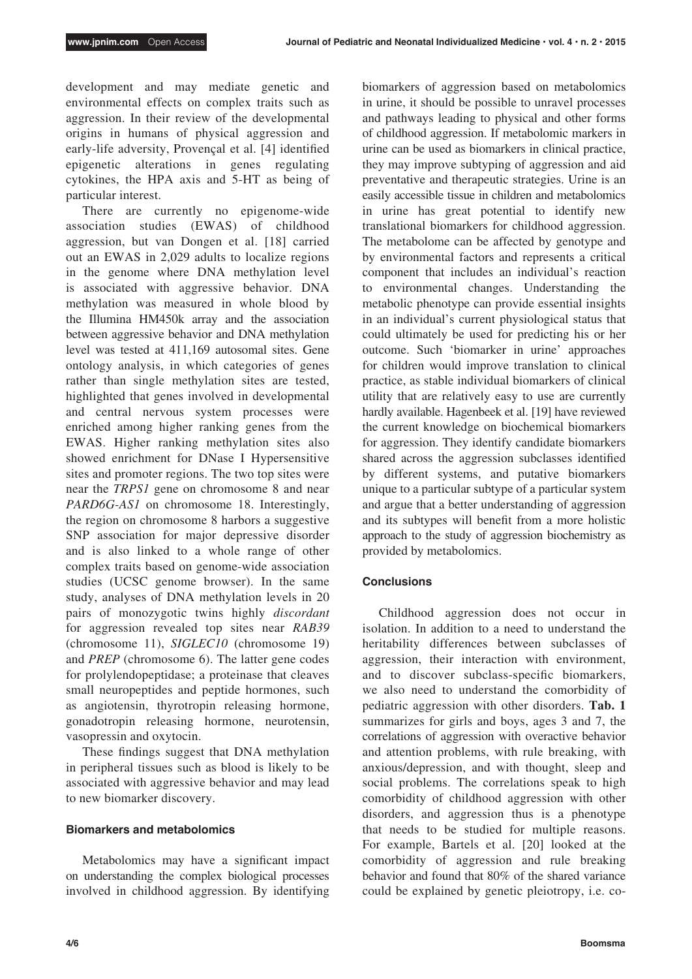development and may mediate genetic and environmental effects on complex traits such as aggression. In their review of the developmental origins in humans of physical aggression and early-life adversity, Provençal et al. [4] identified epigenetic alterations in genes regulating cytokines, the HPA axis and 5-HT as being of particular interest.

There are currently no epigenome-wide association studies (EWAS) of childhood aggression, but van Dongen et al. [18] carried out an EWAS in 2,029 adults to localize regions in the genome where DNA methylation level is associated with aggressive behavior. DNA methylation was measured in whole blood by the Illumina HM450k array and the association between aggressive behavior and DNA methylation level was tested at 411,169 autosomal sites. Gene ontology analysis, in which categories of genes rather than single methylation sites are tested, highlighted that genes involved in developmental and central nervous system processes were enriched among higher ranking genes from the EWAS. Higher ranking methylation sites also showed enrichment for DNase I Hypersensitive sites and promoter regions. The two top sites were near the *TRPS1* gene on chromosome 8 and near *PARD6G-AS1* on chromosome 18. Interestingly, the region on chromosome 8 harbors a suggestive SNP association for major depressive disorder and is also linked to a whole range of other complex traits based on genome-wide association studies (UCSC genome browser). In the same study, analyses of DNA methylation levels in 20 pairs of monozygotic twins highly *discordant* for aggression revealed top sites near *RAB39* (chromosome 11), *SIGLEC10* (chromosome 19) and *PREP* (chromosome 6). The latter gene codes for prolylendopeptidase; a proteinase that cleaves small neuropeptides and peptide hormones, such as angiotensin, thyrotropin releasing hormone, gonadotropin releasing hormone, neurotensin, vasopressin and oxytocin.

These findings suggest that DNA methylation in peripheral tissues such as blood is likely to be associated with aggressive behavior and may lead to new biomarker discovery.

## **Biomarkers and metabolomics**

Metabolomics may have a significant impact on understanding the complex biological processes involved in childhood aggression. By identifying biomarkers of aggression based on metabolomics in urine, it should be possible to unravel processes and pathways leading to physical and other forms of childhood aggression. If metabolomic markers in urine can be used as biomarkers in clinical practice, they may improve subtyping of aggression and aid preventative and therapeutic strategies. Urine is an easily accessible tissue in children and metabolomics in urine has great potential to identify new translational biomarkers for childhood aggression. The metabolome can be affected by genotype and by environmental factors and represents a critical component that includes an individual's reaction to environmental changes. Understanding the metabolic phenotype can provide essential insights in an individual's current physiological status that could ultimately be used for predicting his or her outcome. Such 'biomarker in urine' approaches for children would improve translation to clinical practice, as stable individual biomarkers of clinical utility that are relatively easy to use are currently hardly available. Hagenbeek et al. [19] have reviewed the current knowledge on biochemical biomarkers for aggression. They identify candidate biomarkers shared across the aggression subclasses identified by different systems, and putative biomarkers unique to a particular subtype of a particular system and argue that a better understanding of aggression and its subtypes will benefit from a more holistic approach to the study of aggression biochemistry as provided by metabolomics.

## **Conclusions**

Childhood aggression does not occur in isolation. In addition to a need to understand the heritability differences between subclasses of aggression, their interaction with environment, and to discover subclass-specific biomarkers, we also need to understand the comorbidity of pediatric aggression with other disorders. **Tab. 1** summarizes for girls and boys, ages 3 and 7, the correlations of aggression with overactive behavior and attention problems, with rule breaking, with anxious/depression, and with thought, sleep and social problems. The correlations speak to high comorbidity of childhood aggression with other disorders, and aggression thus is a phenotype that needs to be studied for multiple reasons. For example, Bartels et al. [20] looked at the comorbidity of aggression and rule breaking behavior and found that 80% of the shared variance could be explained by genetic pleiotropy, i.e. co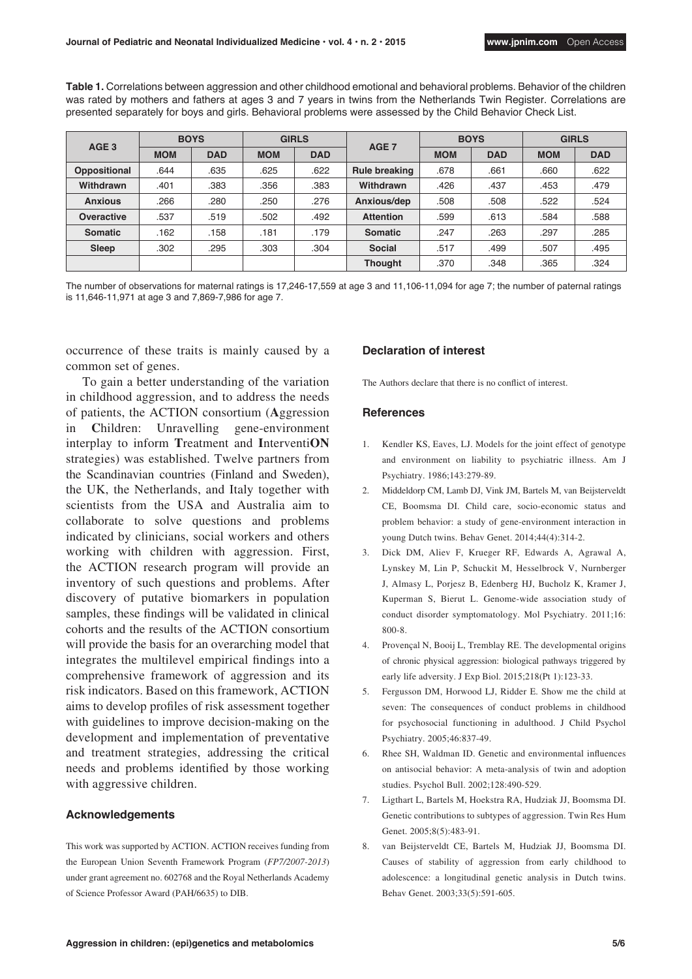**Table 1.** Correlations between aggression and other childhood emotional and behavioral problems. Behavior of the children was rated by mothers and fathers at ages 3 and 7 years in twins from the Netherlands Twin Register. Correlations are presented separately for boys and girls. Behavioral problems were assessed by the Child Behavior Check List.

| AGE <sub>3</sub> | <b>BOYS</b> |            | <b>GIRLS</b> |            | AGE <sub>7</sub> | <b>BOYS</b> |            | <b>GIRLS</b> |            |
|------------------|-------------|------------|--------------|------------|------------------|-------------|------------|--------------|------------|
|                  | <b>MOM</b>  | <b>DAD</b> | <b>MOM</b>   | <b>DAD</b> |                  | <b>MOM</b>  | <b>DAD</b> | <b>MOM</b>   | <b>DAD</b> |
| Oppositional     | .644        | .635       | .625         | .622       | Rule breaking    | .678        | .661       | .660         | .622       |
| Withdrawn        | .401        | .383       | .356         | .383       | Withdrawn        | .426        | .437       | .453         | .479       |
| <b>Anxious</b>   | .266        | .280       | .250         | .276       | Anxious/dep      | .508        | .508       | .522         | .524       |
| Overactive       | .537        | .519       | .502         | .492       | <b>Attention</b> | .599        | .613       | .584         | .588       |
| <b>Somatic</b>   | .162        | .158       | .181         | .179       | <b>Somatic</b>   | .247        | .263       | .297         | .285       |
| Sleep            | .302        | .295       | .303         | .304       | <b>Social</b>    | .517        | .499       | .507         | .495       |
|                  |             |            |              |            | <b>Thought</b>   | .370        | .348       | .365         | .324       |

The number of observations for maternal ratings is 17,246-17,559 at age 3 and 11,106-11,094 for age 7; the number of paternal ratings is 11,646-11,971 at age 3 and 7,869-7,986 for age 7.

occurrence of these traits is mainly caused by a common set of genes.

To gain a better understanding of the variation in childhood aggression, and to address the needs of patients, the ACTION consortium (**A**ggression in **C**hildren: Unravelling gene-environment interplay to inform **T**reatment and **I**nterventi**ON**  strategies) was established. Twelve partners from the Scandinavian countries (Finland and Sweden), the UK, the Netherlands, and Italy together with scientists from the USA and Australia aim to collaborate to solve questions and problems indicated by clinicians, social workers and others working with children with aggression. First, the ACTION research program will provide an inventory of such questions and problems. After discovery of putative biomarkers in population samples, these findings will be validated in clinical cohorts and the results of the ACTION consortium will provide the basis for an overarching model that integrates the multilevel empirical findings into a comprehensive framework of aggression and its risk indicators. Based on this framework, ACTION aims to develop profiles of risk assessment together with guidelines to improve decision-making on the development and implementation of preventative and treatment strategies, addressing the critical needs and problems identified by those working with aggressive children.

#### **Acknowledgements**

This work was supported by ACTION. ACTION receives funding from the European Union Seventh Framework Program (*FP7/2007-2013*) under grant agreement no. 602768 and the Royal Netherlands Academy of Science Professor Award (PAH/6635) to DIB.

### **Declaration of interest**

The Authors declare that there is no conflict of interest.

### **References**

- 1. Kendler KS, Eaves, LJ. Models for the joint effect of genotype and environment on liability to psychiatric illness. Am J Psychiatry. 1986;143:279-89.
- 2. Middeldorp CM, Lamb DJ, Vink JM, Bartels M, van Beijsterveldt CE, Boomsma DI. Child care, socio-economic status and problem behavior: a study of gene-environment interaction in young Dutch twins. Behav Genet. 2014;44(4):314-2.
- 3. Dick DM, Aliev F, Krueger RF, Edwards A, Agrawal A, Lynskey M, Lin P, Schuckit M, Hesselbrock V, Nurnberger J, Almasy L, Porjesz B, Edenberg HJ, Bucholz K, Kramer J, Kuperman S, Bierut L. Genome-wide association study of conduct disorder symptomatology. Mol Psychiatry. 2011;16: 800-8.
- 4. Provençal N, Booij L, Tremblay RE. The developmental origins of chronic physical aggression: biological pathways triggered by early life adversity. J Exp Biol. 2015;218(Pt 1):123-33.
- 5. Fergusson DM, Horwood LJ, Ridder E. Show me the child at seven: The consequences of conduct problems in childhood for psychosocial functioning in adulthood. J Child Psychol Psychiatry. 2005;46:837-49.
- Rhee SH, Waldman ID. Genetic and environmental influences on antisocial behavior: A meta-analysis of twin and adoption studies. Psychol Bull. 2002;128:490-529.
- 7. Ligthart L, Bartels M, Hoekstra RA, Hudziak JJ, Boomsma DI. Genetic contributions to subtypes of aggression. Twin Res Hum Genet. 2005;8(5):483-91.
- 8. van Beijsterveldt CE, Bartels M, Hudziak JJ, Boomsma DI. Causes of stability of aggression from early childhood to adolescence: a longitudinal genetic analysis in Dutch twins. Behav Genet. 2003;33(5):591-605.